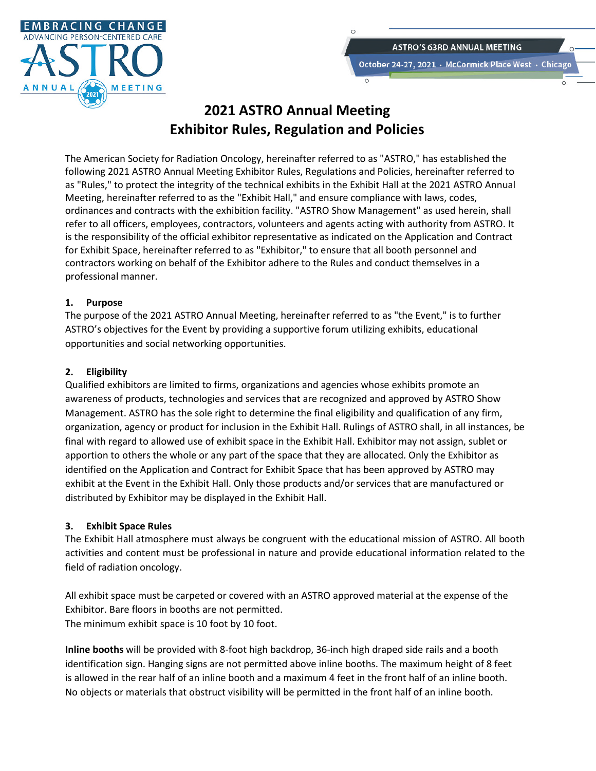

# **2021 ASTRO Annual Meeting Exhibitor Rules, Regulation and Policies**

The American Society for Radiation Oncology, hereinafter referred to as "ASTRO," has established the following 2021 ASTRO Annual Meeting Exhibitor Rules, Regulations and Policies, hereinafter referred to as "Rules," to protect the integrity of the technical exhibits in the Exhibit Hall at the 2021 ASTRO Annual Meeting, hereinafter referred to as the "Exhibit Hall," and ensure compliance with laws, codes, ordinances and contracts with the exhibition facility. "ASTRO Show Management" as used herein, shall refer to all officers, employees, contractors, volunteers and agents acting with authority from ASTRO. It is the responsibility of the official exhibitor representative as indicated on the Application and Contract for Exhibit Space, hereinafter referred to as "Exhibitor," to ensure that all booth personnel and contractors working on behalf of the Exhibitor adhere to the Rules and conduct themselves in a professional manner.

### **1. Purpose**

The purpose of the 2021 ASTRO Annual Meeting, hereinafter referred to as "the Event," is to further ASTRO's objectives for the Event by providing a supportive forum utilizing exhibits, educational opportunities and social networking opportunities.

### **2. Eligibility**

Qualified exhibitors are limited to firms, organizations and agencies whose exhibits promote an awareness of products, technologies and services that are recognized and approved by ASTRO Show Management. ASTRO has the sole right to determine the final eligibility and qualification of any firm, organization, agency or product for inclusion in the Exhibit Hall. Rulings of ASTRO shall, in all instances, be final with regard to allowed use of exhibit space in the Exhibit Hall. Exhibitor may not assign, sublet or apportion to others the whole or any part of the space that they are allocated. Only the Exhibitor as identified on the Application and Contract for Exhibit Space that has been approved by ASTRO may exhibit at the Event in the Exhibit Hall. Only those products and/or services that are manufactured or distributed by Exhibitor may be displayed in the Exhibit Hall.

### **3. Exhibit Space Rules**

The Exhibit Hall atmosphere must always be congruent with the educational mission of ASTRO. All booth activities and content must be professional in nature and provide educational information related to the field of radiation oncology.

All exhibit space must be carpeted or covered with an ASTRO approved material at the expense of the Exhibitor. Bare floors in booths are not permitted. The minimum exhibit space is 10 foot by 10 foot.

**Inline booths** will be provided with 8-foot high backdrop, 36-inch high draped side rails and a booth identification sign. Hanging signs are not permitted above inline booths. The maximum height of 8 feet is allowed in the rear half of an inline booth and a maximum 4 feet in the front half of an inline booth. No objects or materials that obstruct visibility will be permitted in the front half of an inline booth.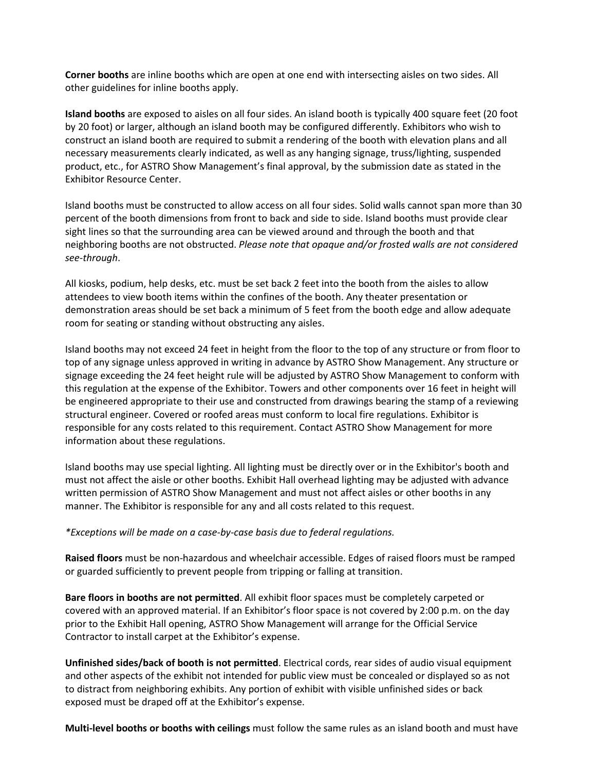**Corner booths** are inline booths which are open at one end with intersecting aisles on two sides. All other guidelines for inline booths apply.

**Island booths** are exposed to aisles on all four sides. An island booth is typically 400 square feet (20 foot by 20 foot) or larger, although an island booth may be configured differently. Exhibitors who wish to construct an island booth are required to submit a rendering of the booth with elevation plans and all necessary measurements clearly indicated, as well as any hanging signage, truss/lighting, suspended product, etc., for ASTRO Show Management's final approval, by the submission date as stated in the Exhibitor Resource Center.

Island booths must be constructed to allow access on all four sides. Solid walls cannot span more than 30 percent of the booth dimensions from front to back and side to side. Island booths must provide clear sight lines so that the surrounding area can be viewed around and through the booth and that neighboring booths are not obstructed. *Please note that opaque and/or frosted walls are not considered see-through*.

All kiosks, podium, help desks, etc. must be set back 2 feet into the booth from the aisles to allow attendees to view booth items within the confines of the booth. Any theater presentation or demonstration areas should be set back a minimum of 5 feet from the booth edge and allow adequate room for seating or standing without obstructing any aisles.

Island booths may not exceed 24 feet in height from the floor to the top of any structure or from floor to top of any signage unless approved in writing in advance by ASTRO Show Management. Any structure or signage exceeding the 24 feet height rule will be adjusted by ASTRO Show Management to conform with this regulation at the expense of the Exhibitor. Towers and other components over 16 feet in height will be engineered appropriate to their use and constructed from drawings bearing the stamp of a reviewing structural engineer. Covered or roofed areas must conform to local fire regulations. Exhibitor is responsible for any costs related to this requirement. Contact ASTRO Show Management for more information about these regulations.

Island booths may use special lighting. All lighting must be directly over or in the Exhibitor's booth and must not affect the aisle or other booths. Exhibit Hall overhead lighting may be adjusted with advance written permission of ASTRO Show Management and must not affect aisles or other booths in any manner. The Exhibitor is responsible for any and all costs related to this request.

### *\*Exceptions will be made on a case-by-case basis due to federal regulations.*

**Raised floors** must be non-hazardous and wheelchair accessible. Edges of raised floors must be ramped or guarded sufficiently to prevent people from tripping or falling at transition.

**Bare floors in booths are not permitted**. All exhibit floor spaces must be completely carpeted or covered with an approved material. If an Exhibitor's floor space is not covered by 2:00 p.m. on the day prior to the Exhibit Hall opening, ASTRO Show Management will arrange for the Official Service Contractor to install carpet at the Exhibitor's expense.

**Unfinished sides/back of booth is not permitted**. Electrical cords, rear sides of audio visual equipment and other aspects of the exhibit not intended for public view must be concealed or displayed so as not to distract from neighboring exhibits. Any portion of exhibit with visible unfinished sides or back exposed must be draped off at the Exhibitor's expense.

**Multi-level booths or booths with ceilings** must follow the same rules as an island booth and must have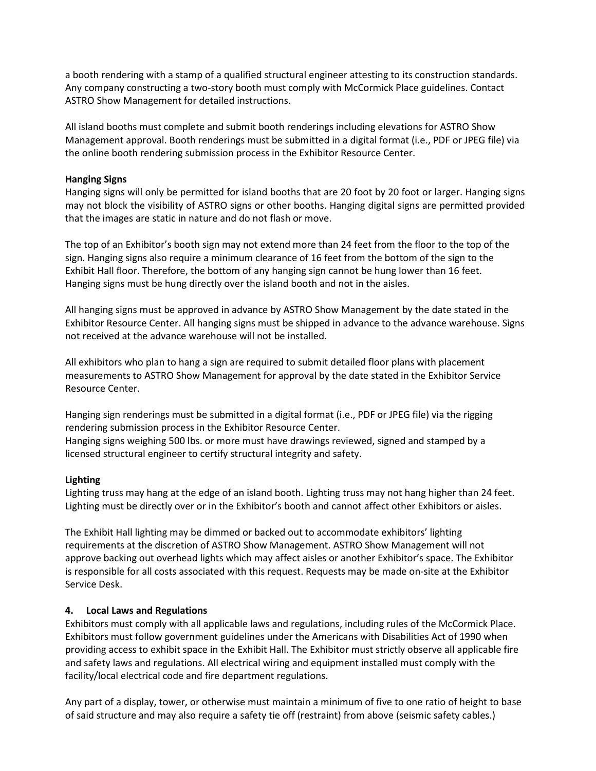a booth rendering with a stamp of a qualified structural engineer attesting to its construction standards. Any company constructing a two-story booth must comply with McCormick Place guidelines. Contact ASTRO Show Management for detailed instructions.

All island booths must complete and submit booth renderings including elevations for ASTRO Show Management approval. Booth renderings must be submitted in a digital format (i.e., PDF or JPEG file) via the online booth rendering submission process in the Exhibitor Resource Center.

### **Hanging Signs**

Hanging signs will only be permitted for island booths that are 20 foot by 20 foot or larger. Hanging signs may not block the visibility of ASTRO signs or other booths. Hanging digital signs are permitted provided that the images are static in nature and do not flash or move.

The top of an Exhibitor's booth sign may not extend more than 24 feet from the floor to the top of the sign. Hanging signs also require a minimum clearance of 16 feet from the bottom of the sign to the Exhibit Hall floor. Therefore, the bottom of any hanging sign cannot be hung lower than 16 feet. Hanging signs must be hung directly over the island booth and not in the aisles.

All hanging signs must be approved in advance by ASTRO Show Management by the date stated in the Exhibitor Resource Center. All hanging signs must be shipped in advance to the advance warehouse. Signs not received at the advance warehouse will not be installed.

All exhibitors who plan to hang a sign are required to submit detailed floor plans with placement measurements to ASTRO Show Management for approval by the date stated in the Exhibitor Service Resource Center.

Hanging sign renderings must be submitted in a digital format (i.e., PDF or JPEG file) via the rigging rendering submission process in the Exhibitor Resource Center. Hanging signs weighing 500 lbs. or more must have drawings reviewed, signed and stamped by a licensed structural engineer to certify structural integrity and safety.

### **Lighting**

Lighting truss may hang at the edge of an island booth. Lighting truss may not hang higher than 24 feet. Lighting must be directly over or in the Exhibitor's booth and cannot affect other Exhibitors or aisles.

The Exhibit Hall lighting may be dimmed or backed out to accommodate exhibitors' lighting requirements at the discretion of ASTRO Show Management. ASTRO Show Management will not approve backing out overhead lights which may affect aisles or another Exhibitor's space. The Exhibitor is responsible for all costs associated with this request. Requests may be made on-site at the Exhibitor Service Desk.

### **4. Local Laws and Regulations**

Exhibitors must comply with all applicable laws and regulations, including rules of the McCormick Place. Exhibitors must follow government guidelines under the Americans with Disabilities Act of 1990 when providing access to exhibit space in the Exhibit Hall. The Exhibitor must strictly observe all applicable fire and safety laws and regulations. All electrical wiring and equipment installed must comply with the facility/local electrical code and fire department regulations.

Any part of a display, tower, or otherwise must maintain a minimum of five to one ratio of height to base of said structure and may also require a safety tie off (restraint) from above (seismic safety cables.)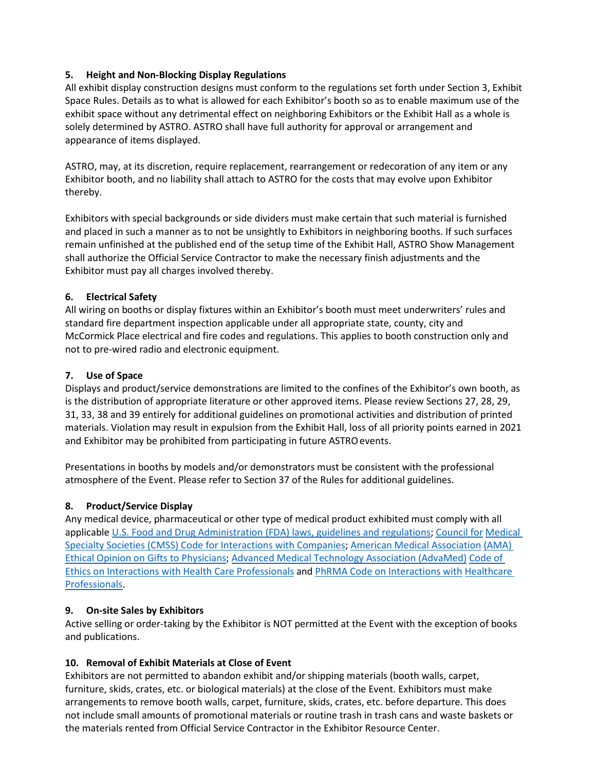# **5. Height and Non-Blocking Display Regulations**

All exhibit display construction designs must conform to the regulations set forth under Section 3, Exhibit Space Rules. Details as to what is allowed for each Exhibitor's booth so as to enable maximum use of the exhibit space without any detrimental effect on neighboring Exhibitors or the Exhibit Hall as a whole is solely determined by ASTRO. ASTRO shall have full authority for approval or arrangement and appearance of items displayed.

ASTRO, may, at its discretion, require replacement, rearrangement or redecoration of any item or any Exhibitor booth, and no liability shall attach to ASTRO for the costs that may evolve upon Exhibitor thereby.

Exhibitors with special backgrounds or side dividers must make certain that such material is furnished and placed in such a manner as to not be unsightly to Exhibitors in neighboring booths. If such surfaces remain unfinished at the published end of the setup time of the Exhibit Hall, ASTRO Show Management shall authorize the Official Service Contractor to make the necessary finish adjustments and the Exhibitor must pay all charges involved thereby.

### **6. Electrical Safety**

All wiring on booths or display fixtures within an Exhibitor's booth must meet underwriters' rules and standard fire department inspection applicable under all appropriate state, county, city and McCormick Place electrical and fire codes and regulations. This applies to booth construction only and not to pre-wired radio and electronic equipment.

### **7. Use of Space**

Displays and product/service demonstrations are limited to the confines of the Exhibitor's own booth, as is the distribution of appropriate literature or other approved items. Please review Sections 27, 28, 29, 31, 33, 38 and 39 entirely for additional guidelines on promotional activities and distribution of printed materials. Violation may result in expulsion from the Exhibit Hall, loss of all priority points earned in 2021 and Exhibitor may be prohibited from participating in future ASTRO events.

Presentations in booths by models and/or demonstrators must be consistent with the professional atmosphere of the Event. Please refer to Section 37 of the Rules for additional guidelines.

# **8. Product/Service Display**

Any medical device, pharmaceutical or other type of medical product exhibited must comply with all applicable U.S. Food and Drug Administration (FDA) laws, guidelines and regulations; Council for Medical Specialty Societies (CMSS) Code for Interactions with Companies; American Medical Association (AMA) Ethical Opinion on Gifts to Physicians; Advanced Medical Technology Association (AdvaMed) Code of Ethics on Interactions with Health Care Professionals and PhRMA Code on Interactions with Healthcare Professionals.

### **9. On-site Sales by Exhibitors**

Active selling or order-taking by the Exhibitor is NOT permitted at the Event with the exception of books and publications.

### **10. Removal of Exhibit Materials at Close of Event**

Exhibitors are not permitted to abandon exhibit and/or shipping materials (booth walls, carpet, furniture, skids, crates, etc. or biological materials) at the close of the Event. Exhibitors must make arrangements to remove booth walls, carpet, furniture, skids, crates, etc. before departure. This does not include small amounts of promotional materials or routine trash in trash cans and waste baskets or the materials rented from Official Service Contractor in the Exhibitor Resource Center.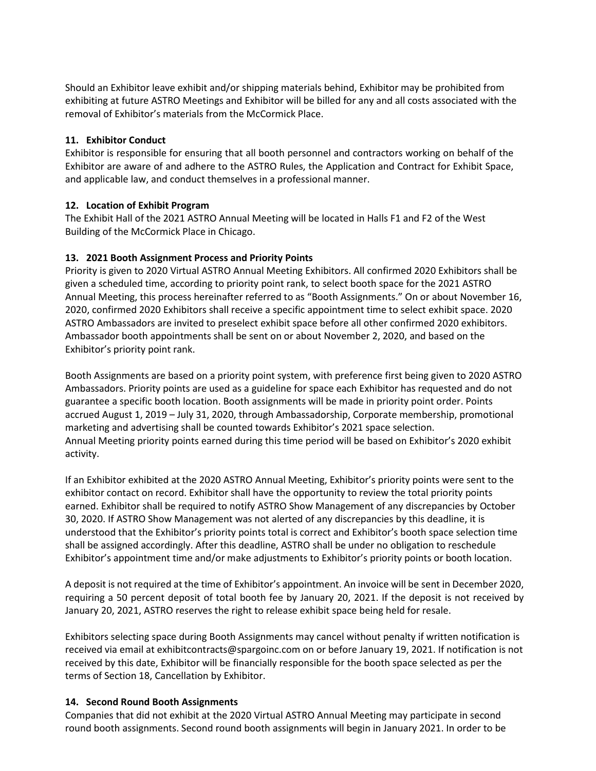Should an Exhibitor leave exhibit and/or shipping materials behind, Exhibitor may be prohibited from exhibiting at future ASTRO Meetings and Exhibitor will be billed for any and all costs associated with the removal of Exhibitor's materials from the McCormick Place.

### **11. Exhibitor Conduct**

Exhibitor is responsible for ensuring that all booth personnel and contractors working on behalf of the Exhibitor are aware of and adhere to the ASTRO Rules, the Application and Contract for Exhibit Space, and applicable law, and conduct themselves in a professional manner.

### **12. Location of Exhibit Program**

The Exhibit Hall of the 2021 ASTRO Annual Meeting will be located in Halls F1 and F2 of the West Building of the McCormick Place in Chicago.

### **13. 2021 Booth Assignment Process and Priority Points**

Priority is given to 2020 Virtual ASTRO Annual Meeting Exhibitors. All confirmed 2020 Exhibitors shall be given a scheduled time, according to priority point rank, to select booth space for the 2021 ASTRO Annual Meeting, this process hereinafter referred to as "Booth Assignments." On or about November 16, 2020, confirmed 2020 Exhibitors shall receive a specific appointment time to select exhibit space. 2020 ASTRO Ambassadors are invited to preselect exhibit space before all other confirmed 2020 exhibitors. Ambassador booth appointments shall be sent on or about November 2, 2020, and based on the Exhibitor's priority point rank.

Booth Assignments are based on a priority point system, with preference first being given to 2020 ASTRO Ambassadors. Priority points are used as a guideline for space each Exhibitor has requested and do not guarantee a specific booth location. Booth assignments will be made in priority point order. Points accrued August 1, 2019 – July 31, 2020, through Ambassadorship, Corporate membership, promotional marketing and advertising shall be counted towards Exhibitor's 2021 space selection. Annual Meeting priority points earned during this time period will be based on Exhibitor's 2020 exhibit activity.

If an Exhibitor exhibited at the 2020 ASTRO Annual Meeting, Exhibitor's priority points were sent to the exhibitor contact on record. Exhibitor shall have the opportunity to review the total priority points earned. Exhibitor shall be required to notify ASTRO Show Management of any discrepancies by October 30, 2020. If ASTRO Show Management was not alerted of any discrepancies by this deadline, it is understood that the Exhibitor's priority points total is correct and Exhibitor's booth space selection time shall be assigned accordingly. After this deadline, ASTRO shall be under no obligation to reschedule Exhibitor's appointment time and/or make adjustments to Exhibitor's priority points or booth location.

A deposit is not required at the time of Exhibitor's appointment. An invoice will be sent in December 2020, requiring a 50 percent deposit of total booth fee by January 20, 2021. If the deposit is not received by January 20, 2021, ASTRO reserves the right to release exhibit space being held for resale.

Exhibitors selecting space during Booth Assignments may cancel without penalty if written notification is received via email at exhibitcontracts@spargoinc.com on or before January 19, 2021. If notification is not received by this date, Exhibitor will be financially responsible for the booth space selected as per the terms of Section 18, Cancellation by Exhibitor.

### **14. Second Round Booth Assignments**

Companies that did not exhibit at the 2020 Virtual ASTRO Annual Meeting may participate in second round booth assignments. Second round booth assignments will begin in January 2021. In order to be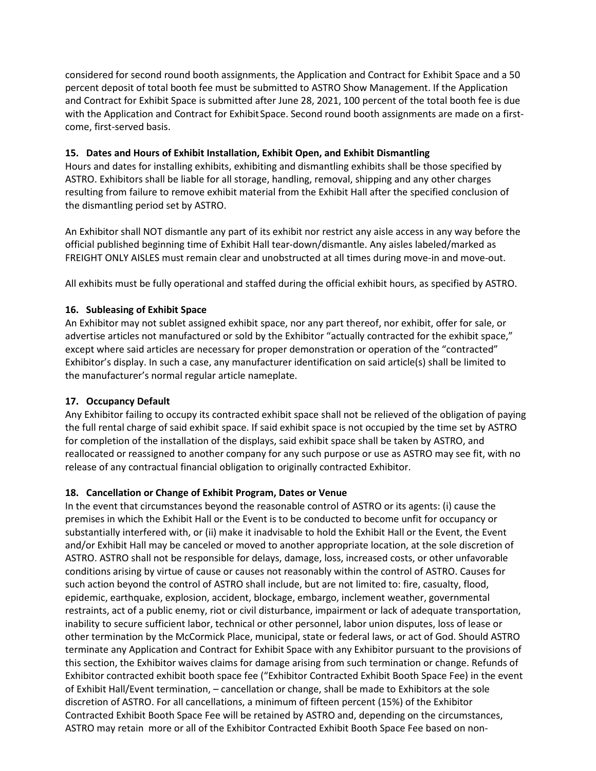considered for second round booth assignments, the Application and Contract for Exhibit Space and a 50 percent deposit of total booth fee must be submitted to ASTRO Show Management. If the Application and Contract for Exhibit Space is submitted after June 28, 2021, 100 percent of the total booth fee is due with the Application and Contract for Exhibit Space. Second round booth assignments are made on a firstcome, first-served basis.

# **15. Dates and Hours of Exhibit Installation, Exhibit Open, and Exhibit Dismantling**

Hours and dates for installing exhibits, exhibiting and dismantling exhibits shall be those specified by ASTRO. Exhibitors shall be liable for all storage, handling, removal, shipping and any other charges resulting from failure to remove exhibit material from the Exhibit Hall after the specified conclusion of the dismantling period set by ASTRO.

An Exhibitor shall NOT dismantle any part of its exhibit nor restrict any aisle access in any way before the official published beginning time of Exhibit Hall tear-down/dismantle. Any aisles labeled/marked as FREIGHT ONLY AISLES must remain clear and unobstructed at all times during move-in and move-out.

All exhibits must be fully operational and staffed during the official exhibit hours, as specified by ASTRO.

### **16. Subleasing of Exhibit Space**

An Exhibitor may not sublet assigned exhibit space, nor any part thereof, nor exhibit, offer for sale, or advertise articles not manufactured or sold by the Exhibitor "actually contracted for the exhibit space," except where said articles are necessary for proper demonstration or operation of the "contracted" Exhibitor's display. In such a case, any manufacturer identification on said article(s) shall be limited to the manufacturer's normal regular article nameplate.

# **17. Occupancy Default**

Any Exhibitor failing to occupy its contracted exhibit space shall not be relieved of the obligation of paying the full rental charge of said exhibit space. If said exhibit space is not occupied by the time set by ASTRO for completion of the installation of the displays, said exhibit space shall be taken by ASTRO, and reallocated or reassigned to another company for any such purpose or use as ASTRO may see fit, with no release of any contractual financial obligation to originally contracted Exhibitor.

### **18. Cancellation or Change of Exhibit Program, Dates or Venue**

In the event that circumstances beyond the reasonable control of ASTRO or its agents: (i) cause the premises in which the Exhibit Hall or the Event is to be conducted to become unfit for occupancy or substantially interfered with, or (ii) make it inadvisable to hold the Exhibit Hall or the Event, the Event and/or Exhibit Hall may be canceled or moved to another appropriate location, at the sole discretion of ASTRO. ASTRO shall not be responsible for delays, damage, loss, increased costs, or other unfavorable conditions arising by virtue of cause or causes not reasonably within the control of ASTRO. Causes for such action beyond the control of ASTRO shall include, but are not limited to: fire, casualty, flood, epidemic, earthquake, explosion, accident, blockage, embargo, inclement weather, governmental restraints, act of a public enemy, riot or civil disturbance, impairment or lack of adequate transportation, inability to secure sufficient labor, technical or other personnel, labor union disputes, loss of lease or other termination by the McCormick Place, municipal, state or federal laws, or act of God. Should ASTRO terminate any Application and Contract for Exhibit Space with any Exhibitor pursuant to the provisions of this section, the Exhibitor waives claims for damage arising from such termination or change. Refunds of Exhibitor contracted exhibit booth space fee ("Exhibitor Contracted Exhibit Booth Space Fee) in the event of Exhibit Hall/Event termination, – cancellation or change, shall be made to Exhibitors at the sole discretion of ASTRO. For all cancellations, a minimum of fifteen percent (15%) of the Exhibitor Contracted Exhibit Booth Space Fee will be retained by ASTRO and, depending on the circumstances, ASTRO may retain more or all of the Exhibitor Contracted Exhibit Booth Space Fee based on non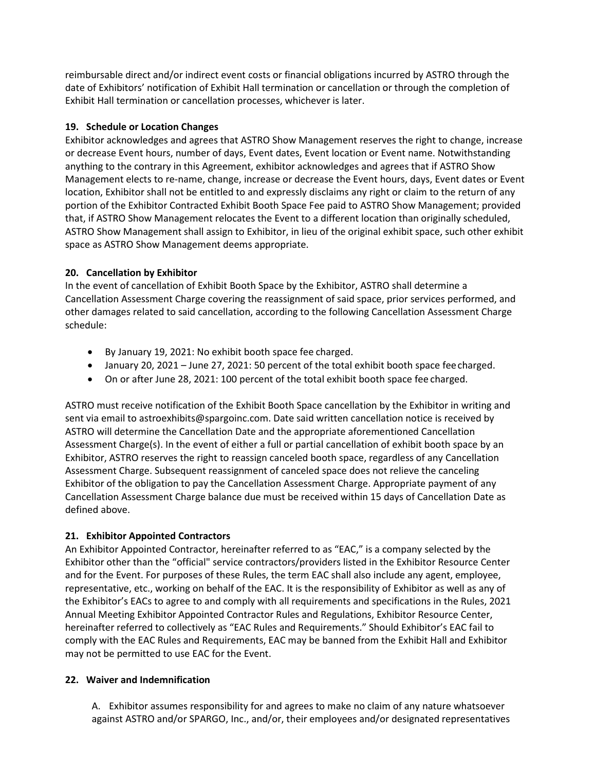reimbursable direct and/or indirect event costs or financial obligations incurred by ASTRO through the date of Exhibitors' notification of Exhibit Hall termination or cancellation or through the completion of Exhibit Hall termination or cancellation processes, whichever is later.

### **19. Schedule or Location Changes**

Exhibitor acknowledges and agrees that ASTRO Show Management reserves the right to change, increase or decrease Event hours, number of days, Event dates, Event location or Event name. Notwithstanding anything to the contrary in this Agreement, exhibitor acknowledges and agrees that if ASTRO Show Management elects to re-name, change, increase or decrease the Event hours, days, Event dates or Event location, Exhibitor shall not be entitled to and expressly disclaims any right or claim to the return of any portion of the Exhibitor Contracted Exhibit Booth Space Fee paid to ASTRO Show Management; provided that, if ASTRO Show Management relocates the Event to a different location than originally scheduled, ASTRO Show Management shall assign to Exhibitor, in lieu of the original exhibit space, such other exhibit space as ASTRO Show Management deems appropriate.

# **20. Cancellation by Exhibitor**

In the event of cancellation of Exhibit Booth Space by the Exhibitor, ASTRO shall determine a Cancellation Assessment Charge covering the reassignment of said space, prior services performed, and other damages related to said cancellation, according to the following Cancellation Assessment Charge schedule:

- By January 19, 2021: No exhibit booth space fee charged.
- January 20, 2021 June 27, 2021: 50 percent of the total exhibit booth space fee charged.
- On or after June 28, 2021: 100 percent of the total exhibit booth space fee charged.

ASTRO must receive notification of the Exhibit Booth Space cancellation by the Exhibitor in writing and sent via email to astroexhibits@spargoinc.com. Date said written cancellation notice is received by ASTRO will determine the Cancellation Date and the appropriate aforementioned Cancellation Assessment Charge(s). In the event of either a full or partial cancellation of exhibit booth space by an Exhibitor, ASTRO reserves the right to reassign canceled booth space, regardless of any Cancellation Assessment Charge. Subsequent reassignment of canceled space does not relieve the canceling Exhibitor of the obligation to pay the Cancellation Assessment Charge. Appropriate payment of any Cancellation Assessment Charge balance due must be received within 15 days of Cancellation Date as defined above.

### **21. Exhibitor Appointed Contractors**

An Exhibitor Appointed Contractor, hereinafter referred to as "EAC," is a company selected by the Exhibitor other than the "official" service contractors/providers listed in the Exhibitor Resource Center and for the Event. For purposes of these Rules, the term EAC shall also include any agent, employee, representative, etc., working on behalf of the EAC. It is the responsibility of Exhibitor as well as any of the Exhibitor's EACs to agree to and comply with all requirements and specifications in the Rules, 2021 Annual Meeting Exhibitor Appointed Contractor Rules and Regulations, Exhibitor Resource Center, hereinafter referred to collectively as "EAC Rules and Requirements." Should Exhibitor's EAC fail to comply with the EAC Rules and Requirements, EAC may be banned from the Exhibit Hall and Exhibitor may not be permitted to use EAC for the Event.

### **22. Waiver and Indemnification**

A. Exhibitor assumes responsibility for and agrees to make no claim of any nature whatsoever against ASTRO and/or SPARGO, Inc., and/or, their employees and/or designated representatives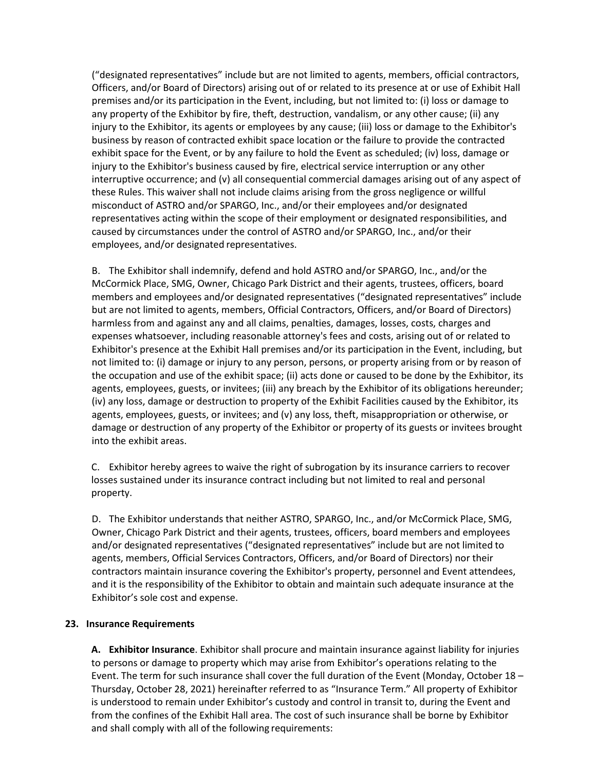("designated representatives" include but are not limited to agents, members, official contractors, Officers, and/or Board of Directors) arising out of or related to its presence at or use of Exhibit Hall premises and/or its participation in the Event, including, but not limited to: (i) loss or damage to any property of the Exhibitor by fire, theft, destruction, vandalism, or any other cause; (ii) any injury to the Exhibitor, its agents or employees by any cause; (iii) loss or damage to the Exhibitor's business by reason of contracted exhibit space location or the failure to provide the contracted exhibit space for the Event, or by any failure to hold the Event as scheduled; (iv) loss, damage or injury to the Exhibitor's business caused by fire, electrical service interruption or any other interruptive occurrence; and (v) all consequential commercial damages arising out of any aspect of these Rules. This waiver shall not include claims arising from the gross negligence or willful misconduct of ASTRO and/or SPARGO, Inc., and/or their employees and/or designated representatives acting within the scope of their employment or designated responsibilities, and caused by circumstances under the control of ASTRO and/or SPARGO, Inc., and/or their employees, and/or designated representatives.

B. The Exhibitor shall indemnify, defend and hold ASTRO and/or SPARGO, Inc., and/or the McCormick Place, SMG, Owner, Chicago Park District and their agents, trustees, officers, board members and employees and/or designated representatives ("designated representatives" include but are not limited to agents, members, Official Contractors, Officers, and/or Board of Directors) harmless from and against any and all claims, penalties, damages, losses, costs, charges and expenses whatsoever, including reasonable attorney's fees and costs, arising out of or related to Exhibitor's presence at the Exhibit Hall premises and/or its participation in the Event, including, but not limited to: (i) damage or injury to any person, persons, or property arising from or by reason of the occupation and use of the exhibit space; (ii) acts done or caused to be done by the Exhibitor, its agents, employees, guests, or invitees; (iii) any breach by the Exhibitor of its obligations hereunder; (iv) any loss, damage or destruction to property of the Exhibit Facilities caused by the Exhibitor, its agents, employees, guests, or invitees; and (v) any loss, theft, misappropriation or otherwise, or damage or destruction of any property of the Exhibitor or property of its guests or invitees brought into the exhibit areas.

C. Exhibitor hereby agrees to waive the right of subrogation by its insurance carriers to recover losses sustained under its insurance contract including but not limited to real and personal property.

D. The Exhibitor understands that neither ASTRO, SPARGO, Inc., and/or McCormick Place, SMG, Owner, Chicago Park District and their agents, trustees, officers, board members and employees and/or designated representatives ("designated representatives" include but are not limited to agents, members, Official Services Contractors, Officers, and/or Board of Directors) nor their contractors maintain insurance covering the Exhibitor's property, personnel and Event attendees, and it is the responsibility of the Exhibitor to obtain and maintain such adequate insurance at the Exhibitor's sole cost and expense.

### **23. Insurance Requirements**

**A. Exhibitor Insurance**. Exhibitor shall procure and maintain insurance against liability for injuries to persons or damage to property which may arise from Exhibitor's operations relating to the Event. The term for such insurance shall cover the full duration of the Event (Monday, October 18 – Thursday, October 28, 2021) hereinafter referred to as "Insurance Term." All property of Exhibitor is understood to remain under Exhibitor's custody and control in transit to, during the Event and from the confines of the Exhibit Hall area. The cost of such insurance shall be borne by Exhibitor and shall comply with all of the following requirements: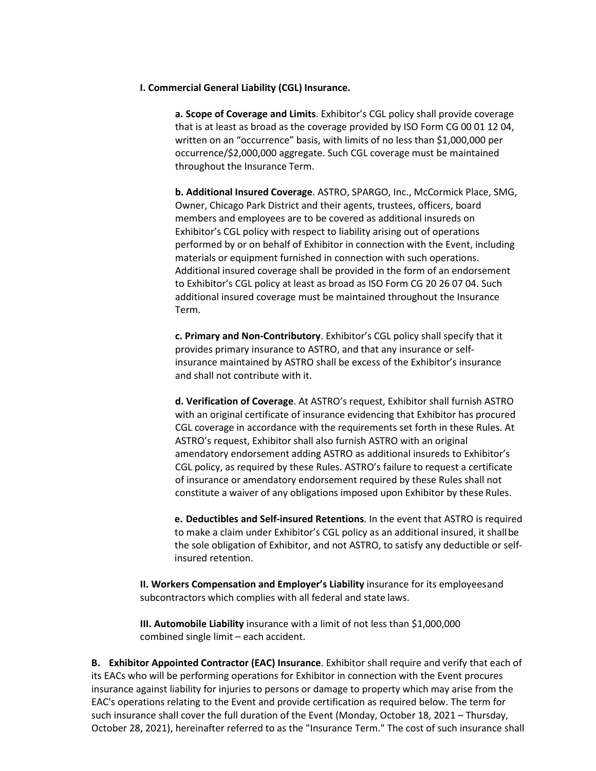#### **I. Commercial General Liability (CGL) Insurance.**

**a. Scope of Coverage and Limits**. Exhibitor's CGL policy shall provide coverage that is at least as broad as the coverage provided by ISO Form CG 00 01 12 04, written on an "occurrence" basis, with limits of no less than \$1,000,000 per occurrence/\$2,000,000 aggregate. Such CGL coverage must be maintained throughout the Insurance Term.

**b. Additional Insured Coverage**. ASTRO, SPARGO, Inc., McCormick Place, SMG, Owner, Chicago Park District and their agents, trustees, officers, board members and employees are to be covered as additional insureds on Exhibitor's CGL policy with respect to liability arising out of operations performed by or on behalf of Exhibitor in connection with the Event, including materials or equipment furnished in connection with such operations. Additional insured coverage shall be provided in the form of an endorsement to Exhibitor's CGL policy at least as broad as ISO Form CG 20 26 07 04. Such additional insured coverage must be maintained throughout the Insurance Term.

**c. Primary and Non-Contributory**. Exhibitor's CGL policy shall specify that it provides primary insurance to ASTRO, and that any insurance or selfinsurance maintained by ASTRO shall be excess of the Exhibitor's insurance and shall not contribute with it.

**d. Verification of Coverage**. At ASTRO's request, Exhibitor shall furnish ASTRO with an original certificate of insurance evidencing that Exhibitor has procured CGL coverage in accordance with the requirements set forth in these Rules. At ASTRO's request, Exhibitor shall also furnish ASTRO with an original amendatory endorsement adding ASTRO as additional insureds to Exhibitor's CGL policy, as required by these Rules. ASTRO's failure to request a certificate of insurance or amendatory endorsement required by these Rules shall not constitute a waiver of any obligations imposed upon Exhibitor by these Rules.

**e. Deductibles and Self-insured Retentions**. In the event that ASTRO is required to make a claim under Exhibitor's CGL policy as an additional insured, it shall be the sole obligation of Exhibitor, and not ASTRO, to satisfy any deductible or selfinsured retention.

**II. Workers Compensation and Employer's Liability** insurance for its employees and subcontractors which complies with all federal and state laws.

**III. Automobile Liability** insurance with a limit of not less than \$1,000,000 combined single limit – each accident.

**B. Exhibitor Appointed Contractor (EAC) Insurance**. Exhibitor shall require and verify that each of its EACs who will be performing operations for Exhibitor in connection with the Event procures insurance against liability for injuries to persons or damage to property which may arise from the EAC's operations relating to the Event and provide certification as required below. The term for such insurance shall cover the full duration of the Event (Monday, October 18, 2021 – Thursday, October 28, 2021), hereinafter referred to as the "Insurance Term." The cost of such insurance shall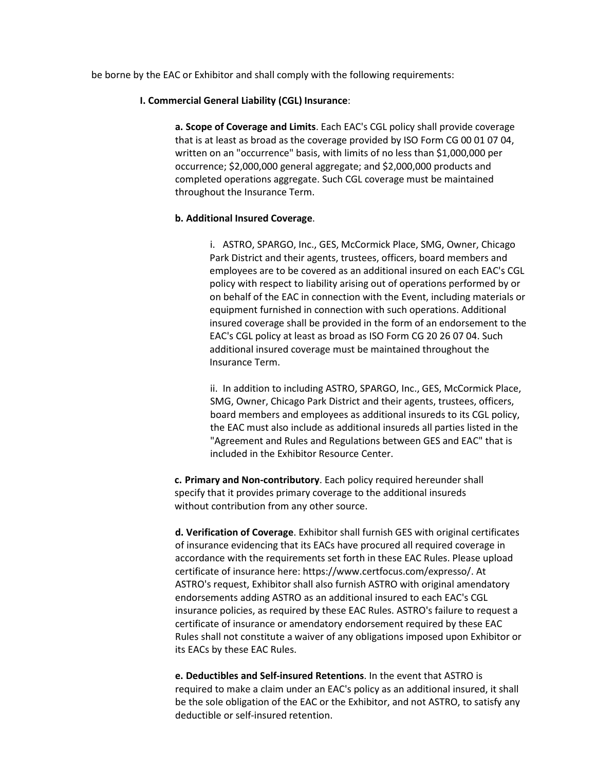be borne by the EAC or Exhibitor and shall comply with the following requirements:

### **I. Commercial General Liability (CGL) Insurance**:

**a. Scope of Coverage and Limits**. Each EAC's CGL policy shall provide coverage that is at least as broad as the coverage provided by ISO Form CG 00 01 07 04, written on an "occurrence" basis, with limits of no less than \$1,000,000 per occurrence; \$2,000,000 general aggregate; and \$2,000,000 products and completed operations aggregate. Such CGL coverage must be maintained throughout the Insurance Term.

### **b. Additional Insured Coverage**.

i. ASTRO, SPARGO, Inc., GES, McCormick Place, SMG, Owner, Chicago Park District and their agents, trustees, officers, board members and employees are to be covered as an additional insured on each EAC's CGL policy with respect to liability arising out of operations performed by or on behalf of the EAC in connection with the Event, including materials or equipment furnished in connection with such operations. Additional insured coverage shall be provided in the form of an endorsement to the EAC's CGL policy at least as broad as ISO Form CG 20 26 07 04. Such additional insured coverage must be maintained throughout the Insurance Term.

ii. In addition to including ASTRO, SPARGO, Inc., GES, McCormick Place, SMG, Owner, Chicago Park District and their agents, trustees, officers, board members and employees as additional insureds to its CGL policy, the EAC must also include as additional insureds all parties listed in the "Agreement and Rules and Regulations between GES and EAC" that is included in the Exhibitor Resource Center.

**c. Primary and Non-contributory**. Each policy required hereunder shall specify that it provides primary coverage to the additional insureds without contribution from any other source.

**d. Verification of Coverage**. Exhibitor shall furnish GES with original certificates of insurance evidencing that its EACs have procured all required coverage in accordance with the requirements set forth in these EAC Rules. Please upload certificate of insurance here: https://www.certfocus.com/expresso/. At ASTRO's request, Exhibitor shall also furnish ASTRO with original amendatory endorsements adding ASTRO as an additional insured to each EAC's CGL insurance policies, as required by these EAC Rules. ASTRO's failure to request a certificate of insurance or amendatory endorsement required by these EAC Rules shall not constitute a waiver of any obligations imposed upon Exhibitor or its EACs by these EAC Rules.

**e. Deductibles and Self-insured Retentions**. In the event that ASTRO is required to make a claim under an EAC's policy as an additional insured, it shall be the sole obligation of the EAC or the Exhibitor, and not ASTRO, to satisfy any deductible or self-insured retention.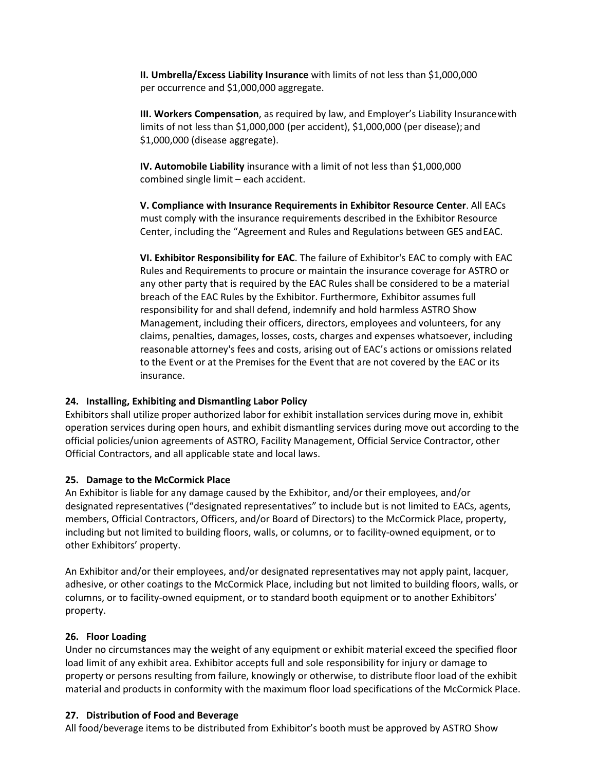**II. Umbrella/Excess Liability Insurance** with limits of not less than \$1,000,000 per occurrence and \$1,000,000 aggregate.

**III. Workers Compensation**, as required by law, and Employer's Liability Insurance with limits of not less than \$1,000,000 (per accident), \$1,000,000 (per disease); and \$1,000,000 (disease aggregate).

**IV. Automobile Liability** insurance with a limit of not less than \$1,000,000 combined single limit – each accident.

**V. Compliance with Insurance Requirements in Exhibitor Resource Center**. All EACs must comply with the insurance requirements described in the Exhibitor Resource Center, including the "Agreement and Rules and Regulations between GES and EAC.

**VI. Exhibitor Responsibility for EAC**. The failure of Exhibitor's EAC to comply with EAC Rules and Requirements to procure or maintain the insurance coverage for ASTRO or any other party that is required by the EAC Rules shall be considered to be a material breach of the EAC Rules by the Exhibitor. Furthermore, Exhibitor assumes full responsibility for and shall defend, indemnify and hold harmless ASTRO Show Management, including their officers, directors, employees and volunteers, for any claims, penalties, damages, losses, costs, charges and expenses whatsoever, including reasonable attorney's fees and costs, arising out of EAC's actions or omissions related to the Event or at the Premises for the Event that are not covered by the EAC or its insurance.

### **24. Installing, Exhibiting and Dismantling Labor Policy**

Exhibitors shall utilize proper authorized labor for exhibit installation services during move in, exhibit operation services during open hours, and exhibit dismantling services during move out according to the official policies/union agreements of ASTRO, Facility Management, Official Service Contractor, other Official Contractors, and all applicable state and local laws.

### **25. Damage to the McCormick Place**

An Exhibitor is liable for any damage caused by the Exhibitor, and/or their employees, and/or designated representatives ("designated representatives" to include but is not limited to EACs, agents, members, Official Contractors, Officers, and/or Board of Directors) to the McCormick Place, property, including but not limited to building floors, walls, or columns, or to facility-owned equipment, or to other Exhibitors' property.

An Exhibitor and/or their employees, and/or designated representatives may not apply paint, lacquer, adhesive, or other coatings to the McCormick Place, including but not limited to building floors, walls, or columns, or to facility-owned equipment, or to standard booth equipment or to another Exhibitors' property.

### **26. Floor Loading**

Under no circumstances may the weight of any equipment or exhibit material exceed the specified floor load limit of any exhibit area. Exhibitor accepts full and sole responsibility for injury or damage to property or persons resulting from failure, knowingly or otherwise, to distribute floor load of the exhibit material and products in conformity with the maximum floor load specifications of the McCormick Place.

### **27. Distribution of Food and Beverage**

All food/beverage items to be distributed from Exhibitor's booth must be approved by ASTRO Show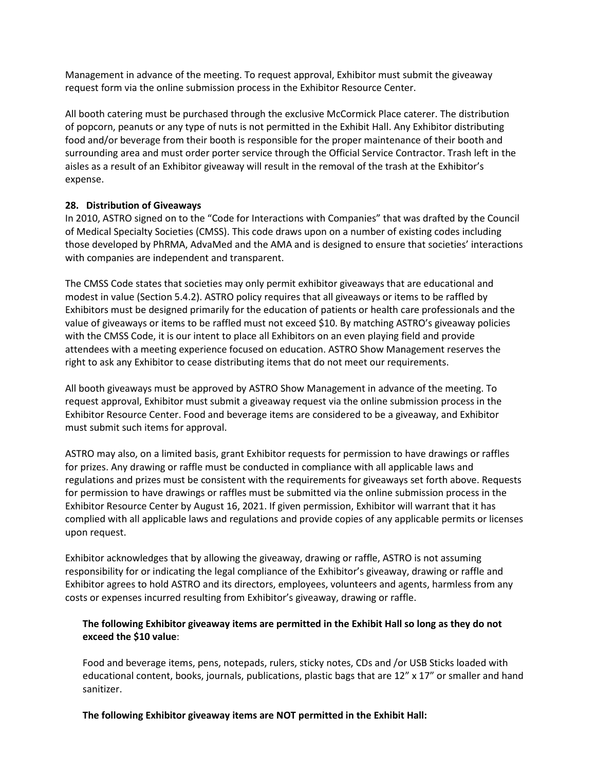Management in advance of the meeting. To request approval, Exhibitor must submit the giveaway request form via the online submission process in the Exhibitor Resource Center.

All booth catering must be purchased through the exclusive McCormick Place caterer. The distribution of popcorn, peanuts or any type of nuts is not permitted in the Exhibit Hall. Any Exhibitor distributing food and/or beverage from their booth is responsible for the proper maintenance of their booth and surrounding area and must order porter service through the Official Service Contractor. Trash left in the aisles as a result of an Exhibitor giveaway will result in the removal of the trash at the Exhibitor's expense.

### **28. Distribution of Giveaways**

In 2010, ASTRO signed on to the "Code for Interactions with Companies" that was drafted by the Council of Medical Specialty Societies (CMSS). This code draws upon on a number of existing codes including those developed by PhRMA, AdvaMed and the AMA and is designed to ensure that societies' interactions with companies are independent and transparent.

The CMSS Code states that societies may only permit exhibitor giveaways that are educational and modest in value (Section 5.4.2). ASTRO policy requires that all giveaways or items to be raffled by Exhibitors must be designed primarily for the education of patients or health care professionals and the value of giveaways or items to be raffled must not exceed \$10. By matching ASTRO's giveaway policies with the CMSS Code, it is our intent to place all Exhibitors on an even playing field and provide attendees with a meeting experience focused on education. ASTRO Show Management reserves the right to ask any Exhibitor to cease distributing items that do not meet our requirements.

All booth giveaways must be approved by ASTRO Show Management in advance of the meeting. To request approval, Exhibitor must submit a giveaway request via the online submission process in the Exhibitor Resource Center. Food and beverage items are considered to be a giveaway, and Exhibitor must submit such items for approval.

ASTRO may also, on a limited basis, grant Exhibitor requests for permission to have drawings or raffles for prizes. Any drawing or raffle must be conducted in compliance with all applicable laws and regulations and prizes must be consistent with the requirements for giveaways set forth above. Requests for permission to have drawings or raffles must be submitted via the online submission process in the Exhibitor Resource Center by August 16, 2021. If given permission, Exhibitor will warrant that it has complied with all applicable laws and regulations and provide copies of any applicable permits or licenses upon request.

Exhibitor acknowledges that by allowing the giveaway, drawing or raffle, ASTRO is not assuming responsibility for or indicating the legal compliance of the Exhibitor's giveaway, drawing or raffle and Exhibitor agrees to hold ASTRO and its directors, employees, volunteers and agents, harmless from any costs or expenses incurred resulting from Exhibitor's giveaway, drawing or raffle.

# **The following Exhibitor giveaway items are permitted in the Exhibit Hall so long as they do not exceed the \$10 value**:

Food and beverage items, pens, notepads, rulers, sticky notes, CDs and /or USB Sticks loaded with educational content, books, journals, publications, plastic bags that are 12" x 17" or smaller and hand sanitizer.

**The following Exhibitor giveaway items are NOT permitted in the Exhibit Hall:**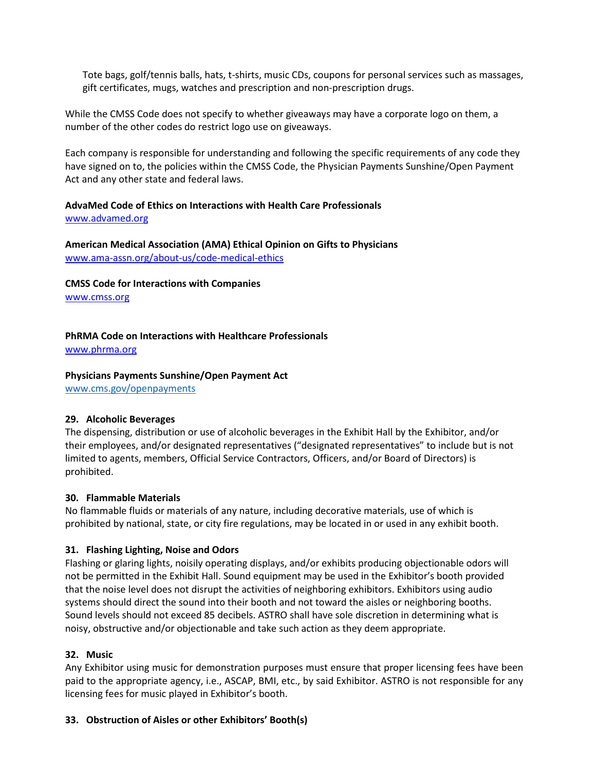Tote bags, golf/tennis balls, hats, t-shirts, music CDs, coupons for personal services such as massages, gift certificates, mugs, watches and prescription and non-prescription drugs.

While the CMSS Code does not specify to whether giveaways may have a corporate logo on them, a number of the other codes do restrict logo use on giveaways.

Each company is responsible for understanding and following the specific requirements of any code they have signed on to, the policies within the CMSS Code, the Physician Payments Sunshine/Open Payment Act and any other state and federal laws.

### **AdvaMed Code of Ethics on Interactions with Health Care Professionals** www.advamed.org

**American Medical Association (AMA) Ethical Opinion on Gifts to Physicians**  www.ama-assn.org/about-us/code-medical-ethics

**CMSS Code for Interactions with Companies** 

www.cmss.org

# **PhRMA Code on Interactions with Healthcare Professionals**

www.phrma.org

# **Physicians Payments Sunshine/Open Payment Act**

www.cms.gov/openpayments

# **29. Alcoholic Beverages**

The dispensing, distribution or use of alcoholic beverages in the Exhibit Hall by the Exhibitor, and/or their employees, and/or designated representatives ("designated representatives" to include but is not limited to agents, members, Official Service Contractors, Officers, and/or Board of Directors) is prohibited.

# **30. Flammable Materials**

No flammable fluids or materials of any nature, including decorative materials, use of which is prohibited by national, state, or city fire regulations, may be located in or used in any exhibit booth.

# **31. Flashing Lighting, Noise and Odors**

Flashing or glaring lights, noisily operating displays, and/or exhibits producing objectionable odors will not be permitted in the Exhibit Hall. Sound equipment may be used in the Exhibitor's booth provided that the noise level does not disrupt the activities of neighboring exhibitors. Exhibitors using audio systems should direct the sound into their booth and not toward the aisles or neighboring booths. Sound levels should not exceed 85 decibels. ASTRO shall have sole discretion in determining what is noisy, obstructive and/or objectionable and take such action as they deem appropriate.

# **32. Music**

Any Exhibitor using music for demonstration purposes must ensure that proper licensing fees have been paid to the appropriate agency, i.e., ASCAP, BMI, etc., by said Exhibitor. ASTRO is not responsible for any licensing fees for music played in Exhibitor's booth.

# **33. Obstruction of Aisles or other Exhibitors' Booth(s)**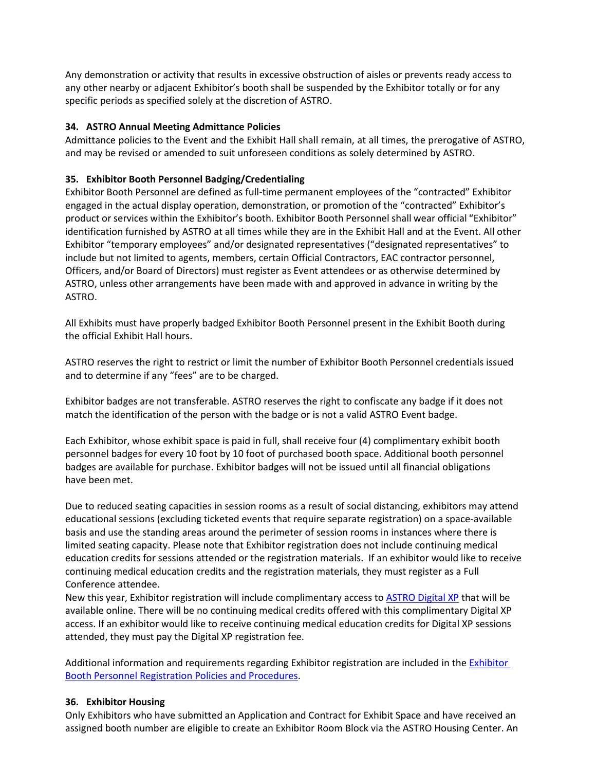Any demonstration or activity that results in excessive obstruction of aisles or prevents ready access to any other nearby or adjacent Exhibitor's booth shall be suspended by the Exhibitor totally or for any specific periods as specified solely at the discretion of ASTRO.

### **34. ASTRO Annual Meeting Admittance Policies**

Admittance policies to the Event and the Exhibit Hall shall remain, at all times, the prerogative of ASTRO, and may be revised or amended to suit unforeseen conditions as solely determined by ASTRO.

# **35. Exhibitor Booth Personnel Badging/Credentialing**

Exhibitor Booth Personnel are defined as full-time permanent employees of the "contracted" Exhibitor engaged in the actual display operation, demonstration, or promotion of the "contracted" Exhibitor's product or services within the Exhibitor's booth. Exhibitor Booth Personnel shall wear official "Exhibitor" identification furnished by ASTRO at all times while they are in the Exhibit Hall and at the Event. All other Exhibitor "temporary employees" and/or designated representatives ("designated representatives" to include but not limited to agents, members, certain Official Contractors, EAC contractor personnel, Officers, and/or Board of Directors) must register as Event attendees or as otherwise determined by ASTRO, unless other arrangements have been made with and approved in advance in writing by the ASTRO.

All Exhibits must have properly badged Exhibitor Booth Personnel present in the Exhibit Booth during the official Exhibit Hall hours.

ASTRO reserves the right to restrict or limit the number of Exhibitor Booth Personnel credentials issued and to determine if any "fees" are to be charged.

Exhibitor badges are not transferable. ASTRO reserves the right to confiscate any badge if it does not match the identification of the person with the badge or is not a valid ASTRO Event badge.

Each Exhibitor, whose exhibit space is paid in full, shall receive four (4) complimentary exhibit booth personnel badges for every 10 foot by 10 foot of purchased booth space. Additional booth personnel badges are available for purchase. Exhibitor badges will not be issued until all financial obligations have been met.

Due to reduced seating capacities in session rooms as a result of social distancing, exhibitors may attend educational sessions (excluding ticketed events that require separate registration) on a space-available basis and use the standing areas around the perimeter of session rooms in instances where there is limited seating capacity. Please note that Exhibitor registration does not include continuing medical education credits for sessions attended or the registration materials. If an exhibitor would like to receive continuing medical education credits and the registration materials, they must register as a Full Conference attendee.

New this year, Exhibitor registration will include complimentary access to ASTRO Digital XP that will be available online. There will be no continuing medical credits offered with this complimentary Digital XP access. If an exhibitor would like to receive continuing medical education credits for Digital XP sessions attended, they must pay the Digital XP registration fee.

Additional information and requirements regarding Exhibitor registration are included in the **Exhibitor** Booth Personnel Registration Policies and Procedures.

### **36. Exhibitor Housing**

Only Exhibitors who have submitted an Application and Contract for Exhibit Space and have received an assigned booth number are eligible to create an Exhibitor Room Block via the ASTRO Housing Center. An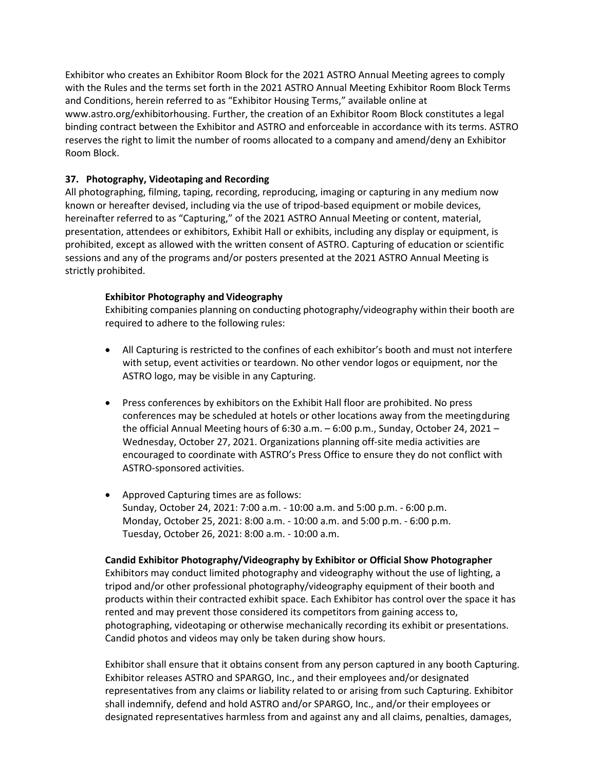Exhibitor who creates an Exhibitor Room Block for the 2021 ASTRO Annual Meeting agrees to comply with the Rules and the terms set forth in the 2021 ASTRO Annual Meeting Exhibitor Room Block Terms and Conditions, herein referred to as "Exhibitor Housing Terms," available online at www.astro.org/exhibitorhousing. Further, the creation of an Exhibitor Room Block constitutes a legal binding contract between the Exhibitor and ASTRO and enforceable in accordance with its terms. ASTRO reserves the right to limit the number of rooms allocated to a company and amend/deny an Exhibitor Room Block.

### **37. Photography, Videotaping and Recording**

All photographing, filming, taping, recording, reproducing, imaging or capturing in any medium now known or hereafter devised, including via the use of tripod-based equipment or mobile devices, hereinafter referred to as "Capturing," of the 2021 ASTRO Annual Meeting or content, material, presentation, attendees or exhibitors, Exhibit Hall or exhibits, including any display or equipment, is prohibited, except as allowed with the written consent of ASTRO. Capturing of education or scientific sessions and any of the programs and/or posters presented at the 2021 ASTRO Annual Meeting is strictly prohibited.

### **Exhibitor Photography and Videography**

Exhibiting companies planning on conducting photography/videography within their booth are required to adhere to the following rules:

- All Capturing is restricted to the confines of each exhibitor's booth and must not interfere with setup, event activities or teardown. No other vendor logos or equipment, nor the ASTRO logo, may be visible in any Capturing.
- Press conferences by exhibitors on the Exhibit Hall floor are prohibited. No press conferences may be scheduled at hotels or other locations away from the meeting during the official Annual Meeting hours of 6:30 a.m. – 6:00 p.m., Sunday, October 24, 2021 – Wednesday, October 27, 2021. Organizations planning off‐site media activities are encouraged to coordinate with ASTRO's Press Office to ensure they do not conflict with ASTRO-sponsored activities.
- Approved Capturing times are as follows: Sunday, October 24, 2021: 7:00 a.m. - 10:00 a.m. and 5:00 p.m. - 6:00 p.m. Monday, October 25, 2021: 8:00 a.m. - 10:00 a.m. and 5:00 p.m. - 6:00 p.m. Tuesday, October 26, 2021: 8:00 a.m. - 10:00 a.m.

### **Candid Exhibitor Photography/Videography by Exhibitor or Official Show Photographer**

Exhibitors may conduct limited photography and videography without the use of lighting, a tripod and/or other professional photography/videography equipment of their booth and products within their contracted exhibit space. Each Exhibitor has control over the space it has rented and may prevent those considered its competitors from gaining access to, photographing, videotaping or otherwise mechanically recording its exhibit or presentations. Candid photos and videos may only be taken during show hours.

Exhibitor shall ensure that it obtains consent from any person captured in any booth Capturing. Exhibitor releases ASTRO and SPARGO, Inc., and their employees and/or designated representatives from any claims or liability related to or arising from such Capturing. Exhibitor shall indemnify, defend and hold ASTRO and/or SPARGO, Inc., and/or their employees or designated representatives harmless from and against any and all claims, penalties, damages,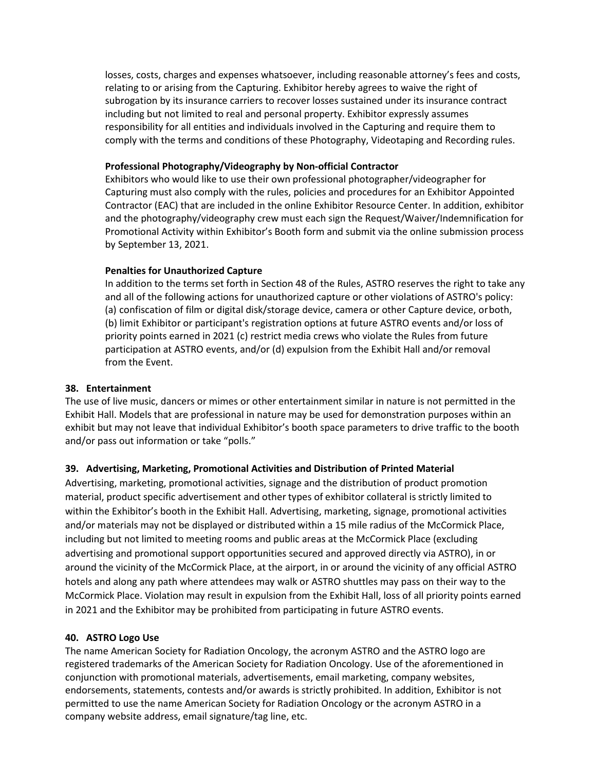losses, costs, charges and expenses whatsoever, including reasonable attorney's fees and costs, relating to or arising from the Capturing. Exhibitor hereby agrees to waive the right of subrogation by its insurance carriers to recover losses sustained under its insurance contract including but not limited to real and personal property. Exhibitor expressly assumes responsibility for all entities and individuals involved in the Capturing and require them to comply with the terms and conditions of these Photography, Videotaping and Recording rules.

### **Professional Photography/Videography by Non-official Contractor**

Exhibitors who would like to use their own professional photographer/videographer for Capturing must also comply with the rules, policies and procedures for an Exhibitor Appointed Contractor (EAC) that are included in the online Exhibitor Resource Center. In addition, exhibitor and the photography/videography crew must each sign the Request/Waiver/Indemnification for Promotional Activity within Exhibitor's Booth form and submit via the online submission process by September 13, 2021.

### **Penalties for Unauthorized Capture**

In addition to the terms set forth in Section 48 of the Rules, ASTRO reserves the right to take any and all of the following actions for unauthorized capture or other violations of ASTRO's policy: (a) confiscation of film or digital disk/storage device, camera or other Capture device, or both, (b) limit Exhibitor or participant's registration options at future ASTRO events and/or loss of priority points earned in 2021 (c) restrict media crews who violate the Rules from future participation at ASTRO events, and/or (d) expulsion from the Exhibit Hall and/or removal from the Event.

# **38. Entertainment**

The use of live music, dancers or mimes or other entertainment similar in nature is not permitted in the Exhibit Hall. Models that are professional in nature may be used for demonstration purposes within an exhibit but may not leave that individual Exhibitor's booth space parameters to drive traffic to the booth and/or pass out information or take "polls."

# **39. Advertising, Marketing, Promotional Activities and Distribution of Printed Material**

Advertising, marketing, promotional activities, signage and the distribution of product promotion material, product specific advertisement and other types of exhibitor collateral is strictly limited to within the Exhibitor's booth in the Exhibit Hall. Advertising, marketing, signage, promotional activities and/or materials may not be displayed or distributed within a 15 mile radius of the McCormick Place, including but not limited to meeting rooms and public areas at the McCormick Place (excluding advertising and promotional support opportunities secured and approved directly via ASTRO), in or around the vicinity of the McCormick Place, at the airport, in or around the vicinity of any official ASTRO hotels and along any path where attendees may walk or ASTRO shuttles may pass on their way to the McCormick Place. Violation may result in expulsion from the Exhibit Hall, loss of all priority points earned in 2021 and the Exhibitor may be prohibited from participating in future ASTRO events.

### **40. ASTRO Logo Use**

The name American Society for Radiation Oncology, the acronym ASTRO and the ASTRO logo are registered trademarks of the American Society for Radiation Oncology. Use of the aforementioned in conjunction with promotional materials, advertisements, email marketing, company websites, endorsements, statements, contests and/or awards is strictly prohibited. In addition, Exhibitor is not permitted to use the name American Society for Radiation Oncology or the acronym ASTRO in a company website address, email signature/tag line, etc.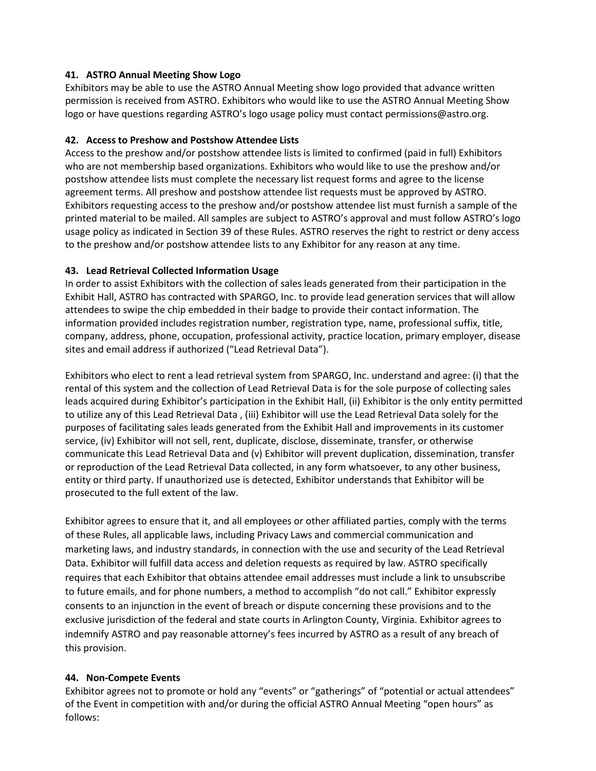### **41. ASTRO Annual Meeting Show Logo**

Exhibitors may be able to use the ASTRO Annual Meeting show logo provided that advance written permission is received from ASTRO. Exhibitors who would like to use the ASTRO Annual Meeting Show logo or have questions regarding ASTRO's logo usage policy must contact permissions@astro.org.

### **42. Access to Preshow and Postshow Attendee Lists**

Access to the preshow and/or postshow attendee lists is limited to confirmed (paid in full) Exhibitors who are not membership based organizations. Exhibitors who would like to use the preshow and/or postshow attendee lists must complete the necessary list request forms and agree to the license agreement terms. All preshow and postshow attendee list requests must be approved by ASTRO. Exhibitors requesting access to the preshow and/or postshow attendee list must furnish a sample of the printed material to be mailed. All samples are subject to ASTRO's approval and must follow ASTRO's logo usage policy as indicated in Section 39 of these Rules. ASTRO reserves the right to restrict or deny access to the preshow and/or postshow attendee lists to any Exhibitor for any reason at any time.

### **43. Lead Retrieval Collected Information Usage**

In order to assist Exhibitors with the collection of sales leads generated from their participation in the Exhibit Hall, ASTRO has contracted with SPARGO, Inc. to provide lead generation services that will allow attendees to swipe the chip embedded in their badge to provide their contact information. The information provided includes registration number, registration type, name, professional suffix, title, company, address, phone, occupation, professional activity, practice location, primary employer, disease sites and email address if authorized ("Lead Retrieval Data").

Exhibitors who elect to rent a lead retrieval system from SPARGO, Inc. understand and agree: (i) that the rental of this system and the collection of Lead Retrieval Data is for the sole purpose of collecting sales leads acquired during Exhibitor's participation in the Exhibit Hall, (ii) Exhibitor is the only entity permitted to utilize any of this Lead Retrieval Data , (iii) Exhibitor will use the Lead Retrieval Data solely for the purposes of facilitating sales leads generated from the Exhibit Hall and improvements in its customer service, (iv) Exhibitor will not sell, rent, duplicate, disclose, disseminate, transfer, or otherwise communicate this Lead Retrieval Data and (v) Exhibitor will prevent duplication, dissemination, transfer or reproduction of the Lead Retrieval Data collected, in any form whatsoever, to any other business, entity or third party. If unauthorized use is detected, Exhibitor understands that Exhibitor will be prosecuted to the full extent of the law.

Exhibitor agrees to ensure that it, and all employees or other affiliated parties, comply with the terms of these Rules, all applicable laws, including Privacy Laws and commercial communication and marketing laws, and industry standards, in connection with the use and security of the Lead Retrieval Data. Exhibitor will fulfill data access and deletion requests as required by law. ASTRO specifically requires that each Exhibitor that obtains attendee email addresses must include a link to unsubscribe to future emails, and for phone numbers, a method to accomplish "do not call." Exhibitor expressly consents to an injunction in the event of breach or dispute concerning these provisions and to the exclusive jurisdiction of the federal and state courts in Arlington County, Virginia. Exhibitor agrees to indemnify ASTRO and pay reasonable attorney's fees incurred by ASTRO as a result of any breach of this provision.

# **44. Non-Compete Events**

Exhibitor agrees not to promote or hold any "events" or "gatherings" of "potential or actual attendees" of the Event in competition with and/or during the official ASTRO Annual Meeting "open hours" as follows: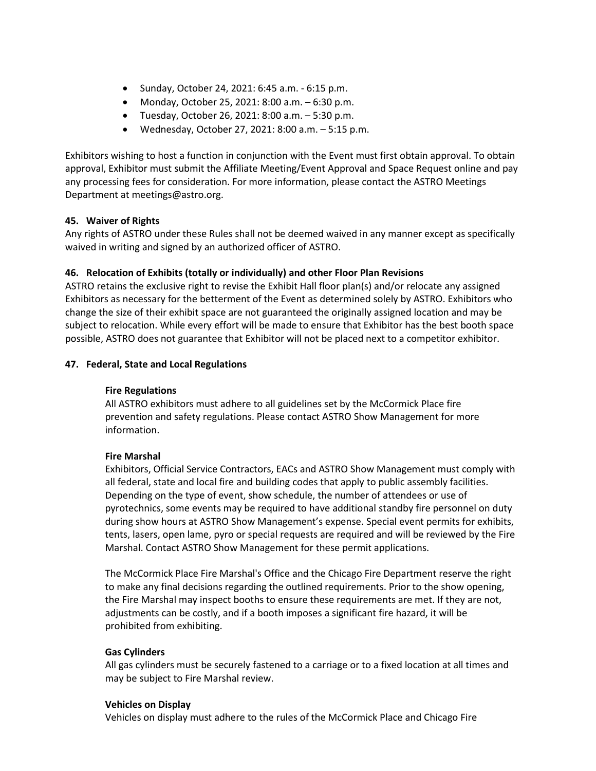- Sunday, October 24, 2021: 6:45 a.m. 6:15 p.m.
- Monday, October 25, 2021: 8:00 a.m. 6:30 p.m.
- $\bullet$  Tuesday, October 26, 2021: 8:00 a.m.  $-5:30$  p.m.
- Wednesday, October 27, 2021: 8:00 a.m. 5:15 p.m.

Exhibitors wishing to host a function in conjunction with the Event must first obtain approval. To obtain approval, Exhibitor must submit the Affiliate Meeting/Event Approval and Space Request online and pay any processing fees for consideration. For more information, please contact the ASTRO Meetings Department at meetings@astro.org.

# **45. Waiver of Rights**

Any rights of ASTRO under these Rules shall not be deemed waived in any manner except as specifically waived in writing and signed by an authorized officer of ASTRO.

# **46. Relocation of Exhibits (totally or individually) and other Floor Plan Revisions**

ASTRO retains the exclusive right to revise the Exhibit Hall floor plan(s) and/or relocate any assigned Exhibitors as necessary for the betterment of the Event as determined solely by ASTRO. Exhibitors who change the size of their exhibit space are not guaranteed the originally assigned location and may be subject to relocation. While every effort will be made to ensure that Exhibitor has the best booth space possible, ASTRO does not guarantee that Exhibitor will not be placed next to a competitor exhibitor.

### **47. Federal, State and Local Regulations**

### **Fire Regulations**

All ASTRO exhibitors must adhere to all guidelines set by the McCormick Place fire prevention and safety regulations. Please contact ASTRO Show Management for more information.

### **Fire Marshal**

Exhibitors, Official Service Contractors, EACs and ASTRO Show Management must comply with all federal, state and local fire and building codes that apply to public assembly facilities. Depending on the type of event, show schedule, the number of attendees or use of pyrotechnics, some events may be required to have additional standby fire personnel on duty during show hours at ASTRO Show Management's expense. Special event permits for exhibits, tents, lasers, open lame, pyro or special requests are required and will be reviewed by the Fire Marshal. Contact ASTRO Show Management for these permit applications.

The McCormick Place Fire Marshal's Office and the Chicago Fire Department reserve the right to make any final decisions regarding the outlined requirements. Prior to the show opening, the Fire Marshal may inspect booths to ensure these requirements are met. If they are not, adjustments can be costly, and if a booth imposes a significant fire hazard, it will be prohibited from exhibiting.

### **Gas Cylinders**

All gas cylinders must be securely fastened to a carriage or to a fixed location at all times and may be subject to Fire Marshal review.

### **Vehicles on Display**

Vehicles on display must adhere to the rules of the McCormick Place and Chicago Fire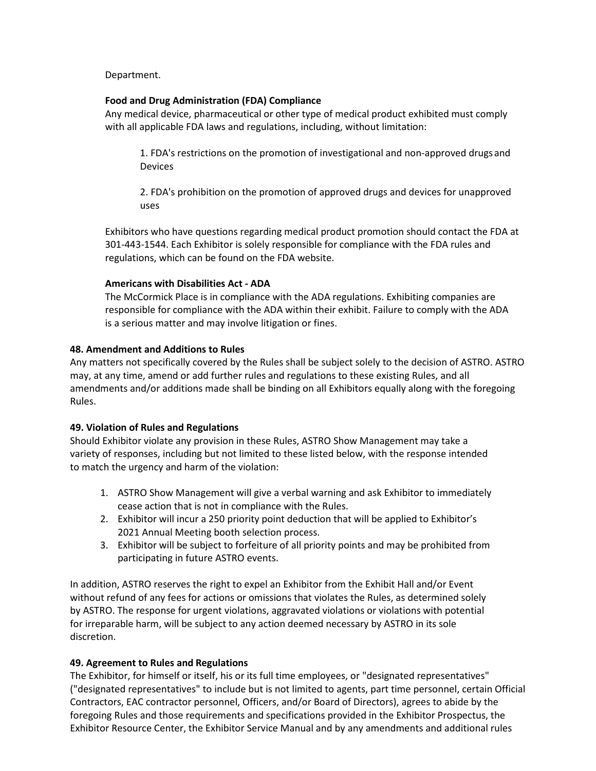Department.

### **Food and Drug Administration (FDA) Compliance**

Any medical device, pharmaceutical or other type of medical product exhibited must comply with all applicable FDA laws and regulations, including, without limitation:

1. FDA's restrictions on the promotion of investigational and non‐approved drugs and Devices

2. FDA's prohibition on the promotion of approved drugs and devices for unapproved uses

Exhibitors who have questions regarding medical product promotion should contact the FDA at 301‐443‐1544. Each Exhibitor is solely responsible for compliance with the FDA rules and regulations, which can be found on the FDA website.

### **Americans with Disabilities Act ‐ ADA**

The McCormick Place is in compliance with the ADA regulations. Exhibiting companies are responsible for compliance with the ADA within their exhibit. Failure to comply with the ADA is a serious matter and may involve litigation or fines.

### **48. Amendment and Additions to Rules**

Any matters not specifically covered by the Rules shall be subject solely to the decision of ASTRO. ASTRO may, at any time, amend or add further rules and regulations to these existing Rules, and all amendments and/or additions made shall be binding on all Exhibitors equally along with the foregoing Rules.

# **49. Violation of Rules and Regulations**

Should Exhibitor violate any provision in these Rules, ASTRO Show Management may take a variety of responses, including but not limited to these listed below, with the response intended to match the urgency and harm of the violation:

- 1. ASTRO Show Management will give a verbal warning and ask Exhibitor to immediately cease action that is not in compliance with the Rules.
- 2. Exhibitor will incur a 250 priority point deduction that will be applied to Exhibitor's 2021 Annual Meeting booth selection process.
- 3. Exhibitor will be subject to forfeiture of all priority points and may be prohibited from participating in future ASTRO events.

In addition, ASTRO reserves the right to expel an Exhibitor from the Exhibit Hall and/or Event without refund of any fees for actions or omissions that violates the Rules, as determined solely by ASTRO. The response for urgent violations, aggravated violations or violations with potential for irreparable harm, will be subject to any action deemed necessary by ASTRO in its sole discretion.

# **49. Agreement to Rules and Regulations**

The Exhibitor, for himself or itself, his or its full time employees, or "designated representatives" ("designated representatives" to include but is not limited to agents, part time personnel, certain Official Contractors, EAC contractor personnel, Officers, and/or Board of Directors), agrees to abide by the foregoing Rules and those requirements and specifications provided in the Exhibitor Prospectus, the Exhibitor Resource Center, the Exhibitor Service Manual and by any amendments and additional rules